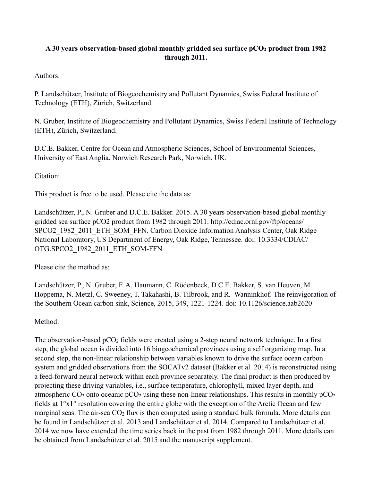## **A 30 years observation-based global monthly gridded sea surface pCO2 product from 1982 through 2011.**

Authors:

P. Landschützer, Institute of Biogeochemistry and Pollutant Dynamics, Swiss Federal Institute of Technology (ETH), Zürich, Switzerland.

N. Gruber, Institute of Biogeochemistry and Pollutant Dynamics, Swiss Federal Institute of Technology (ETH), Zürich, Switzerland.

D.C.E. Bakker, Centre for Ocean and Atmospheric Sciences, School of Environmental Sciences, University of East Anglia, Norwich Research Park, Norwich, UK.

Citation:

This product is free to be used. Please cite the data as:

Landschützer, P., N. Gruber and D.C.E. Bakker. 2015. A 30 years observation-based global monthly gridded sea surface pCO2 product from 1982 through 2011. http://cdiac.ornl.gov/ftp/oceans/ SPCO2\_1982\_2011\_ETH\_SOM\_FFN. Carbon Dioxide Information Analysis Center, Oak Ridge National Laboratory, US Department of Energy, Oak Ridge, Tennessee. doi: 10.3334/CDIAC/ OTG.SPCO2\_1982\_2011\_ETH\_SOM-FFN

Please cite the method as:

Landschützer, P., N. Gruber, F. A. Haumann, C. Rödenbeck, D.C.E. Bakker, S. van Heuven, M. Hoppema, N. Metzl, C. Sweeney, T. Takahashi, B. Tilbrook, and R. Wanninkhof. The reinvigoration of the Southern Ocean carbon sink, Science, 2015, 349, 1221-1224. doi: 10.1126/science.aab2620

Method:

The observation-based  $pCO<sub>2</sub>$  fields were created using a 2-step neural network technique. In a first step, the global ocean is divided into 16 biogeochemical provinces using a self organizing map. In a second step, the non-linear relationship between variables known to drive the surface ocean carbon system and gridded observations from the SOCATv2 dataset (Bakker et al. 2014) is reconstructed using a feed-forward neural network within each province separately. The final product is then produced by projecting these driving variables, i.e., surface temperature, chlorophyll, mixed layer depth, and atmospheric  $CO_2$  onto oceanic pCO<sub>2</sub> using these non-linear relationships. This results in monthly pCO<sub>2</sub> fields at 1°x1° resolution covering the entire globe with the exception of the Arctic Ocean and few marginal seas. The air-sea  $CO<sub>2</sub>$  flux is then computed using a standard bulk formula. More details can be found in Landschützer et al. 2013 and Landschützer et al. 2014. Compared to Landschützer et al. 2014 we now have extended the time series back in the past from 1982 through 2011. More details can be obtained from Landschützer et al. 2015 and the manuscript supplement.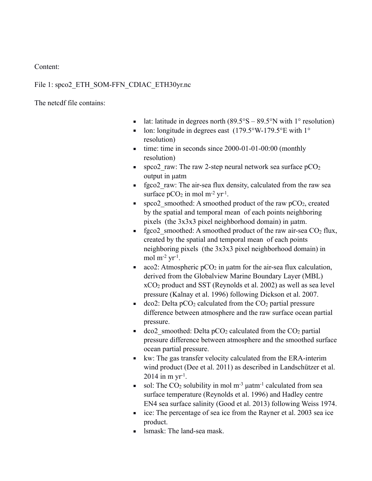Content:

## File 1: spco2\_ETH\_SOM-FFN\_CDIAC\_ETH30yr.nc

The netcdf file contains:

- **E** lat: latitude in degrees north  $(89.5^{\circ}S 89.5^{\circ}N)$  with 1° resolution)
- **•** lon: longitude in degrees east  $(179.5\textdegree W 179.5\textdegree E \text{ with } 1\textdegree P$ resolution)
- $\blacksquare$  time: time in seconds since 2000-01-01-00:00 (monthly resolution)
- **•** spco2 raw: The raw 2-step neural network sea surface  $pCO<sub>2</sub>$ output in µatm
- **•** fgco2 raw: The air-sea flux density, calculated from the raw sea surface  $pCO<sub>2</sub>$  in mol m<sup>-2</sup> yr<sup>-1</sup>.
- **•** spco2 smoothed: A smoothed product of the raw  $pCO_2$ , created by the spatial and temporal mean of each points neighboring pixels (the 3x3x3 pixel neighborhood domain) in µatm.
- **•** fgco2 smoothed: A smoothed product of the raw air-sea  $CO<sub>2</sub>$  flux, created by the spatial and temporal mean of each points neighboring pixels (the 3x3x3 pixel neighborhood domain) in mol  $m^{-2}$  yr<sup>-1</sup>.
- $\bullet$  aco2: Atmospheric pCO<sub>2</sub> in µatm for the air-sea flux calculation, derived from the Globalview Marine Boundary Layer (MBL) xCO2 product and SST (Reynolds et al. 2002) as well as sea level pressure (Kalnay et al. 1996) following Dickson et al. 2007.
- $\bullet$  dco2: Delta pCO<sub>2</sub> calculated from the CO<sub>2</sub> partial pressure difference between atmosphere and the raw surface ocean partial pressure.
- $\bullet$  dco2 smoothed: Delta pCO<sub>2</sub> calculated from the CO<sub>2</sub> partial pressure difference between atmosphere and the smoothed surface ocean partial pressure.
- kw: The gas transfer velocity calculated from the ERA-interim wind product (Dee et al. 2011) as described in Landschützer et al.  $2014$  in m yr<sup>-1</sup>.
- sol: The  $CO<sub>2</sub>$  solubility in mol m<sup>-3</sup> uatm<sup>-1</sup> calculated from sea surface temperature (Reynolds et al. 1996) and Hadley centre EN4 sea surface salinity (Good et al. 2013) following Weiss 1974.
- ice: The percentage of sea ice from the Rayner et al. 2003 sea ice product.
- lsmask: The land-sea mask.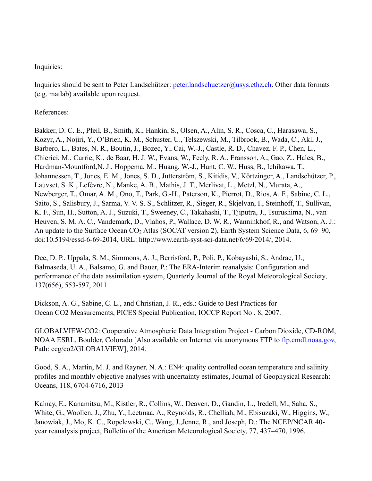## Inquiries:

Inquiries should be sent to Peter Landschützer: [peter.landschuetzer@usys.ethz.ch.](mailto:peter.landschuetzer@usys.ethz.ch) Other data formats (e.g. matlab) available upon request.

References:

Bakker, D. C. E., Pfeil, B., Smith, K., Hankin, S., Olsen, A., Alin, S. R., Cosca, C., Harasawa, S., Kozyr, A., Nojiri, Y., O'Brien, K. M., Schuster, U., Telszewski, M., Tilbrook, B., Wada, C., Akl, J., Barbero, L., Bates, N. R., Boutin, J., Bozec, Y., Cai, W.-J., Castle, R. D., Chavez, F. P., Chen, L., Chierici, M., Currie, K., de Baar, H. J. W., Evans, W., Feely, R. A., Fransson, A., Gao, Z., Hales, B., Hardman-Mountford,N. J., Hoppema, M., Huang, W.-J., Hunt, C. W., Huss, B., Ichikawa, T., Johannessen, T., Jones, E. M., Jones, S. D., Jutterström, S., Kitidis, V., Körtzinger, A., Landschützer, P., Lauvset, S. K., Lefèvre, N., Manke, A. B., Mathis, J. T., Merlivat, L., Metzl, N., Murata, A., Newberger, T., Omar, A. M., Ono, T., Park, G.-H., Paterson, K., Pierrot, D., Rios, A. F., Sabine, C. L., Saito, S., Salisbury, J., Sarma, V. V. S. S., Schlitzer, R., Sieger, R., Skjelvan, I., Steinhoff, T., Sullivan, K. F., Sun, H., Sutton, A. J., Suzuki, T., Sweeney, C., Takahashi, T., Tjiputra, J., Tsurushima, N., van Heuven, S. M. A. C., Vandemark, D., Vlahos, P., Wallace, D. W. R., Wanninkhof, R., and Watson, A. J.: An update to the Surface Ocean CO2 Atlas (SOCAT version 2), Earth System Science Data, 6, 69–90, doi:10.5194/essd-6-69-2014, URL: http://www.earth-syst-sci-data.net/6/69/2014/, 2014.

Dee, D. P., Uppala, S. M., Simmons, A. J., Berrisford, P., Poli, P., Kobayashi, S., Andrae, U., Balmaseda, U. A., Balsamo, G. and Bauer, P.: The ERA-Interim reanalysis: Configuration and performance of the data assimilation system, Quarterly Journal of the Royal Meteorological Society*,*  137(656), 553-597, 2011

Dickson, A. G., Sabine, C. L., and Christian, J. R., eds.: Guide to Best Practices for Ocean CO2 Measurements, PICES Special Publication, IOCCP Report No . 8, 2007.

GLOBALVIEW-CO2: Cooperative Atmospheric Data Integration Project - Carbon Dioxide, CD-ROM, NOAA ESRL, Boulder, Colorado [Also available on Internet via anonymous FTP to ftp.cmdl.noaa.gov, Path: ccg/co2/GLOBALVIEW], 2014.

Good, S. A., Martin, M. J. and Rayner, N. A.: EN4: quality controlled ocean temperature and salinity profiles and monthly objective analyses with uncertainty estimates, Journal of Geophysical Research: Oceans, 118, 6704-6716, 2013

Kalnay, E., Kanamitsu, M., Kistler, R., Collins, W., Deaven, D., Gandin, L., Iredell, M., Saha, S., White, G., Woollen, J., Zhu, Y., Leetmaa, A., Reynolds, R., Chelliah, M., Ebisuzaki, W., Higgins, W., Janowiak, J., Mo, K. C., Ropelewski, C., Wang, J.,Jenne, R., and Joseph, D.: The NCEP/NCAR 40 year reanalysis project, Bulletin of the American Meteorological Society, 77, 437–470, 1996.